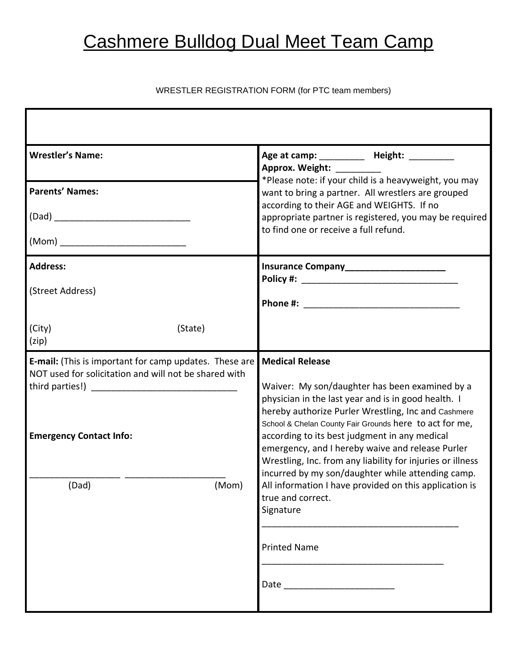## Cashmere Bulldog Dual Meet Team Camp

### WRESTLER REGISTRATION FORM (for PTC team members)

| <b>Wrestler's Name:</b>                                                                                                                                             | Age at camp: ____________ Height: __________<br>Approx. Weight: _________<br>*Please note: if your child is a heavyweight, you may                                                                                                                                                                                                                                                                                                                                                                                                                                    |
|---------------------------------------------------------------------------------------------------------------------------------------------------------------------|-----------------------------------------------------------------------------------------------------------------------------------------------------------------------------------------------------------------------------------------------------------------------------------------------------------------------------------------------------------------------------------------------------------------------------------------------------------------------------------------------------------------------------------------------------------------------|
| <b>Parents' Names:</b>                                                                                                                                              | want to bring a partner. All wrestlers are grouped<br>according to their AGE and WEIGHTS. If no                                                                                                                                                                                                                                                                                                                                                                                                                                                                       |
|                                                                                                                                                                     | appropriate partner is registered, you may be required<br>to find one or receive a full refund.                                                                                                                                                                                                                                                                                                                                                                                                                                                                       |
| (Mom) __________________________________                                                                                                                            |                                                                                                                                                                                                                                                                                                                                                                                                                                                                                                                                                                       |
| <b>Address:</b>                                                                                                                                                     | Insurance Company_____________________                                                                                                                                                                                                                                                                                                                                                                                                                                                                                                                                |
| (Street Address)                                                                                                                                                    |                                                                                                                                                                                                                                                                                                                                                                                                                                                                                                                                                                       |
| (City)<br>(State)<br>(zip)                                                                                                                                          |                                                                                                                                                                                                                                                                                                                                                                                                                                                                                                                                                                       |
| E-mail: (This is important for camp updates. These are<br>NOT used for solicitation and will not be shared with<br><b>Emergency Contact Info:</b><br>(Dad)<br>(Mom) | <b>Medical Release</b><br>Waiver: My son/daughter has been examined by a<br>physician in the last year and is in good health. I<br>hereby authorize Purler Wrestling, Inc and Cashmere<br>School & Chelan County Fair Grounds here to act for me,<br>according to its best judgment in any medical<br>emergency, and I hereby waive and release Purler<br>Wrestling, Inc. from any liability for injuries or illness<br>incurred by my son/daughter while attending camp.<br>All information I have provided on this application is<br>true and correct.<br>Signature |
|                                                                                                                                                                     | <b>Printed Name</b><br>Date <u>__________</u>                                                                                                                                                                                                                                                                                                                                                                                                                                                                                                                         |